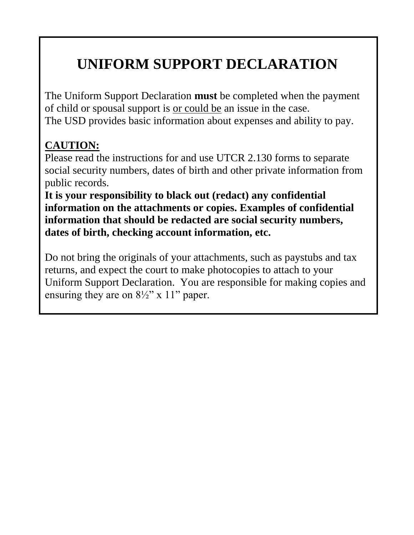# **UNIFORM SUPPORT DECLARATION**

The Uniform Support Declaration **must** be completed when the payment of child or spousal support is or could be an issue in the case. The USD provides basic information about expenses and ability to pay.

# **CAUTION:**

Please read the instructions for and use UTCR 2.130 forms to separate social security numbers, dates of birth and other private information from public records.

**It is your responsibility to black out (redact) any confidential information on the attachments or copies. Examples of confidential information that should be redacted are social security numbers, dates of birth, checking account information, etc.** 

Do not bring the originals of your attachments, such as paystubs and tax returns, and expect the court to make photocopies to attach to your Uniform Support Declaration. You are responsible for making copies and ensuring they are on  $8\frac{1}{2}$ " x 11" paper.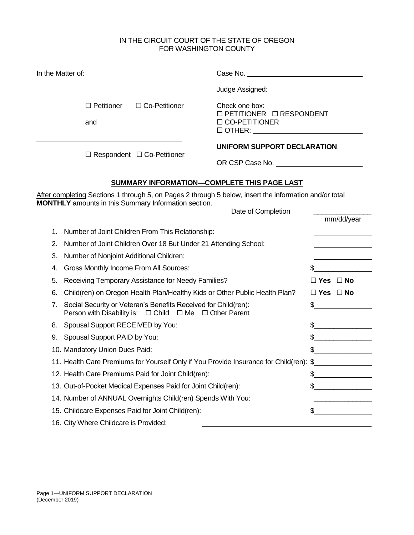#### IN THE CIRCUIT COURT OF THE STATE OF OREGON FOR WASHINGTON COUNTY

| In the Matter of: |                                                                                                                                                                       |                                                                                                                    |                          |
|-------------------|-----------------------------------------------------------------------------------------------------------------------------------------------------------------------|--------------------------------------------------------------------------------------------------------------------|--------------------------|
|                   |                                                                                                                                                                       | Judge Assigned: ______________________________                                                                     |                          |
|                   | $\Box$ Petitioner<br>$\Box$ Co-Petitioner<br>and                                                                                                                      | Check one box:<br>□ PETITIONER □ RESPONDENT<br>□ CO-PETITIONER<br>$\Box$ $\Box$ $\Box$ $\Box$ $\Box$ $\Box$ $\Box$ |                          |
|                   | $\Box$ Respondent $\Box$ Co-Petitioner                                                                                                                                | UNIFORM SUPPORT DECLARATION<br>OR CSP Case No.                                                                     |                          |
|                   |                                                                                                                                                                       | SUMMARY INFORMATION-COMPLETE THIS PAGE LAST                                                                        |                          |
|                   | After completing Sections 1 through 5, on Pages 2 through 5 below, insert the information and/or total<br><b>MONTHLY</b> amounts in this Summary Information section. | Date of Completion                                                                                                 | mm/dd/year               |
| 1.                | Number of Joint Children From This Relationship:                                                                                                                      |                                                                                                                    |                          |
| 2.                | Number of Joint Children Over 18 But Under 21 Attending School:                                                                                                       |                                                                                                                    |                          |
| 3.                | Number of Nonjoint Additional Children:                                                                                                                               |                                                                                                                    |                          |
| 4.                | Gross Monthly Income From All Sources:                                                                                                                                |                                                                                                                    |                          |
| 5.                | Receiving Temporary Assistance for Needy Families?                                                                                                                    |                                                                                                                    | $\Box$ Yes $\Box$ No     |
| 6.                | Child(ren) on Oregon Health Plan/Healthy Kids or Other Public Health Plan?                                                                                            |                                                                                                                    | $\Box$ Yes $\Box$ No     |
| 7 <sub>1</sub>    | Social Security or Veteran's Benefits Received for Child(ren):<br>Person with Disability is: □ Child □ Me □ Other Parent                                              |                                                                                                                    | \$                       |
|                   | 8. Spousal Support RECEIVED by You:                                                                                                                                   |                                                                                                                    | \$                       |
|                   | 9. Spousal Support PAID by You:                                                                                                                                       |                                                                                                                    |                          |
|                   | 10. Mandatory Union Dues Paid:                                                                                                                                        |                                                                                                                    |                          |
|                   | 11. Health Care Premiums for Yourself Only if You Provide Insurance for Child(ren): \$                                                                                |                                                                                                                    |                          |
|                   | 12. Health Care Premiums Paid for Joint Child(ren):                                                                                                                   |                                                                                                                    |                          |
|                   | 13. Out-of-Pocket Medical Expenses Paid for Joint Child(ren):                                                                                                         |                                                                                                                    | $\overline{\phantom{a}}$ |
|                   | 14. Number of ANNUAL Overnights Child(ren) Spends With You:                                                                                                           |                                                                                                                    |                          |
|                   | 15. Childcare Expenses Paid for Joint Child(ren):                                                                                                                     |                                                                                                                    |                          |
|                   | 16. City Where Childcare is Provided:                                                                                                                                 |                                                                                                                    |                          |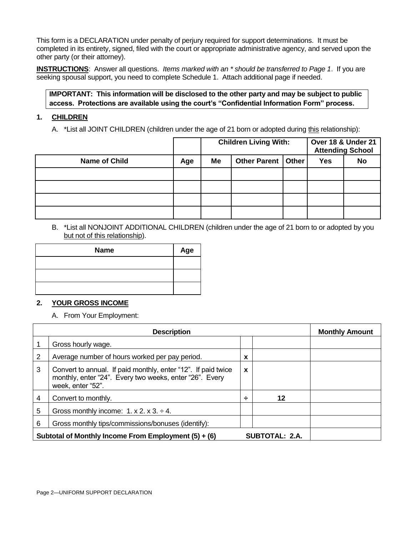This form is a DECLARATION under penalty of perjury required for support determinations. It must be completed in its entirety, signed, filed with the court or appropriate administrative agency, and served upon the other party (or their attorney).

**INSTRUCTIONS**: Answer all questions. *Items marked with an \* should be transferred to Page 1*. If you are seeking spousal support, you need to complete Schedule 1. Attach additional page if needed.

#### **IMPORTANT: This information will be disclosed to the other party and may be subject to public access. Protections are available using the court's "Confidential Information Form" process.**

#### **1. CHILDREN**

A. \*List all JOINT CHILDREN (children under the age of 21 born or adopted during this relationship):

|                      |     | <b>Children Living With:</b> |                      |  | Over 18 & Under 21<br><b>Attending School</b> |           |
|----------------------|-----|------------------------------|----------------------|--|-----------------------------------------------|-----------|
| <b>Name of Child</b> | Age | Me                           | Other Parent   Other |  | <b>Yes</b>                                    | <b>No</b> |
|                      |     |                              |                      |  |                                               |           |
|                      |     |                              |                      |  |                                               |           |
|                      |     |                              |                      |  |                                               |           |
|                      |     |                              |                      |  |                                               |           |

B. \*List all NONJOINT ADDITIONAL CHILDREN (children under the age of 21 born to or adopted by you but not of this relationship).

| <b>Name</b> | Age |
|-------------|-----|
|             |     |
|             |     |
|             |     |

#### **2. YOUR GROSS INCOME**

A. From Your Employment:

|   | <b>Description</b>                                                                                                                            | <b>Monthly Amount</b> |                       |  |
|---|-----------------------------------------------------------------------------------------------------------------------------------------------|-----------------------|-----------------------|--|
|   | Gross hourly wage.                                                                                                                            |                       |                       |  |
| 2 | Average number of hours worked per pay period.                                                                                                | X                     |                       |  |
| 3 | Convert to annual. If paid monthly, enter "12". If paid twice<br>monthly, enter "24". Every two weeks, enter "26". Every<br>week, enter "52". | $\mathbf x$           |                       |  |
| 4 | Convert to monthly.                                                                                                                           | ÷                     | 12                    |  |
| 5 | Gross monthly income: $1. x 2. x 3. \div 4.$                                                                                                  |                       |                       |  |
| 6 | Gross monthly tips/commissions/bonuses (identify):                                                                                            |                       |                       |  |
|   | Subtotal of Monthly Income From Employment $(5) + (6)$                                                                                        |                       | <b>SUBTOTAL: 2.A.</b> |  |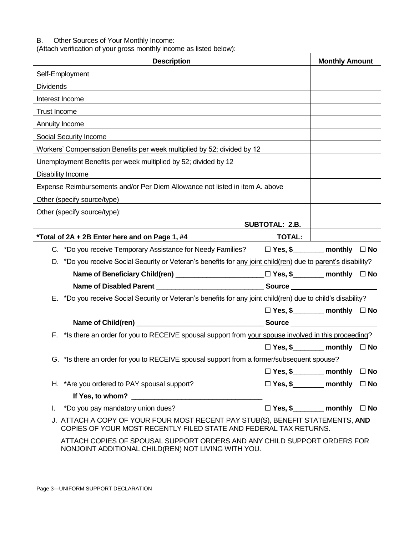#### B. Other Sources of Your Monthly Income:

(Attach verification of your gross monthly income as listed below):

| <b>Description</b>                                                                                                                                    |                                            | <b>Monthly Amount</b> |              |
|-------------------------------------------------------------------------------------------------------------------------------------------------------|--------------------------------------------|-----------------------|--------------|
| Self-Employment                                                                                                                                       |                                            |                       |              |
| <b>Dividends</b>                                                                                                                                      |                                            |                       |              |
| Interest Income                                                                                                                                       |                                            |                       |              |
| <b>Trust Income</b>                                                                                                                                   |                                            |                       |              |
| Annuity Income                                                                                                                                        |                                            |                       |              |
| Social Security Income                                                                                                                                |                                            |                       |              |
| Workers' Compensation Benefits per week multiplied by 52; divided by 12                                                                               |                                            |                       |              |
| Unemployment Benefits per week multiplied by 52; divided by 12                                                                                        |                                            |                       |              |
| Disability Income                                                                                                                                     |                                            |                       |              |
| Expense Reimbursements and/or Per Diem Allowance not listed in item A. above                                                                          |                                            |                       |              |
| Other (specify source/type)<br><u> 1980 - Jan Samuel Barbara, margaret e populazion del control del control del control del control de la control</u> |                                            |                       |              |
| Other (specify source/type):                                                                                                                          |                                            |                       |              |
|                                                                                                                                                       | <b>SUBTOTAL: 2.B.</b>                      |                       |              |
| *Total of 2A + 2B Enter here and on Page 1, #4<br><u> 1990 - Johann Barbara, martin eta </u>                                                          | TOTAL:                                     |                       |              |
| C. *Do you receive Temporary Assistance for Needy Families? $\Box$ Yes, \$                                                                            |                                            |                       | $\square$ No |
| D. *Do you receive Social Security or Veteran's benefits for any joint child(ren) due to parent's disability?                                         |                                            |                       |              |
|                                                                                                                                                       |                                            |                       | $\square$ No |
|                                                                                                                                                       |                                            |                       |              |
| E. *Do you receive Social Security or Veteran's benefits for any joint child(ren) due to child's disability?                                          |                                            |                       |              |
|                                                                                                                                                       | $\Box$ Yes, \$__________ monthly $\Box$ No |                       |              |
|                                                                                                                                                       |                                            |                       |              |
| F. * Is there an order for you to RECEIVE spousal support from your spouse involved in this proceeding?                                               |                                            |                       |              |
|                                                                                                                                                       | $\Box$ Yes, \$__________ monthly $\Box$ No |                       |              |
| G. *Is there an order for you to RECEIVE spousal support from a former/subsequent spouse?                                                             |                                            |                       |              |
|                                                                                                                                                       | $\Box$ Yes, \$_________ monthly            |                       | $\square$ No |
| H. *Are you ordered to PAY spousal support?                                                                                                           | $\Box$ Yes, \$___________ monthly          |                       | $\square$ No |
|                                                                                                                                                       |                                            |                       |              |
| *Do you pay mandatory union dues?<br>L.                                                                                                               | $\Box$ Yes, \$___________ monthly          |                       | $\square$ No |
| J. ATTACH A COPY OF YOUR FOUR MOST RECENT PAY STUB(S), BENEFIT STATEMENTS, AND<br>COPIES OF YOUR MOST RECENTLY FILED STATE AND FEDERAL TAX RETURNS.   |                                            |                       |              |
| ATTACH COPIES OF SPOUSAL SUPPORT ORDERS AND ANY CHILD SUPPORT ORDERS FOR<br>NONJOINT ADDITIONAL CHILD(REN) NOT LIVING WITH YOU.                       |                                            |                       |              |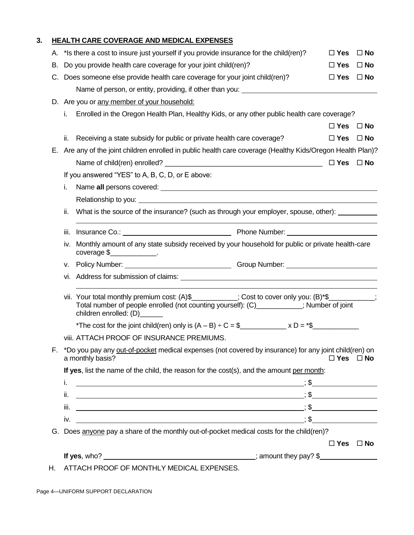### **3. HEALTH CARE COVERAGE AND MEDICAL EXPENSES**

|    |      | A. * Is there a cost to insure just yourself if you provide insurance for the child(ren)?                                                                                                                                                        | $\Box$ Yes           | $\Box$ No    |
|----|------|--------------------------------------------------------------------------------------------------------------------------------------------------------------------------------------------------------------------------------------------------|----------------------|--------------|
| В. |      | Do you provide health care coverage for your joint child(ren)?                                                                                                                                                                                   | $\Box$ Yes           | $\square$ No |
|    |      | C. Does someone else provide health care coverage for your joint child(ren)?                                                                                                                                                                     | $\Box$ Yes           | $\square$ No |
|    |      | Name of person, or entity, providing, if other than you: ________________________                                                                                                                                                                |                      |              |
|    |      | D. Are you or any member of your household:                                                                                                                                                                                                      |                      |              |
|    | i.   | Enrolled in the Oregon Health Plan, Healthy Kids, or any other public health care coverage?                                                                                                                                                      |                      |              |
|    |      |                                                                                                                                                                                                                                                  | $\Box$ Yes           | $\square$ No |
|    | ii.  | Receiving a state subsidy for public or private health care coverage?                                                                                                                                                                            | $\Box$ Yes           | $\square$ No |
|    |      | E. Are any of the joint children enrolled in public health care coverage (Healthy Kids/Oregon Health Plan)?                                                                                                                                      |                      |              |
|    |      |                                                                                                                                                                                                                                                  | $\square$ Yes        | $\square$ No |
|    |      | If you answered "YES" to A, B, C, D, or E above:                                                                                                                                                                                                 |                      |              |
|    | i.   |                                                                                                                                                                                                                                                  |                      |              |
|    |      |                                                                                                                                                                                                                                                  |                      |              |
|    | ii.  | What is the source of the insurance? (such as through your employer, spouse, other):                                                                                                                                                             |                      |              |
|    | iii. |                                                                                                                                                                                                                                                  |                      |              |
|    | iv.  | Monthly amount of any state subsidy received by your household for public or private health-care<br>$coverage \$                                                                                                                                 |                      |              |
|    | ν.   |                                                                                                                                                                                                                                                  |                      |              |
|    |      |                                                                                                                                                                                                                                                  |                      |              |
|    |      | vii. Your total monthly premium cost: (A)\$__________; Cost to cover only you: (B)*\$_________;<br>Total number of people enrolled (not counting yourself): (C)___________; Number of joint<br>children enrolled: (D)______                      |                      |              |
|    |      | *The cost for the joint child(ren) only is $(A - B) \div C = \frac{6}{2}$ x D = *\$                                                                                                                                                              |                      |              |
|    |      | <b>VIII. ATTACH PROOF OF INSURANCE PREMIUMS.</b>                                                                                                                                                                                                 |                      |              |
|    |      | *Do you pay any out-of-pocket medical expenses (not covered by insurance) for any joint child(ren) on<br>a monthly basis?                                                                                                                        | $\Box$ Yes $\Box$ No |              |
|    |      | If yes, list the name of the child, the reason for the cost(s), and the amount per month:                                                                                                                                                        |                      |              |
|    | i.   |                                                                                                                                                                                                                                                  |                      |              |
|    | ii.  |                                                                                                                                                                                                                                                  |                      |              |
|    | iii. | $\overline{\phantom{a}}$ , $\overline{\phantom{a}}$ , $\overline{\phantom{a}}$ , $\overline{\phantom{a}}$ , $\overline{\phantom{a}}$ , $\overline{\phantom{a}}$ , $\overline{\phantom{a}}$ , $\overline{\phantom{a}}$ , $\overline{\phantom{a}}$ |                      |              |
|    | iv.  |                                                                                                                                                                                                                                                  |                      |              |
|    |      | G. Does anyone pay a share of the monthly out-of-pocket medical costs for the child(ren)?                                                                                                                                                        |                      |              |
|    |      |                                                                                                                                                                                                                                                  | $\Box$ Yes $\Box$ No |              |
|    |      |                                                                                                                                                                                                                                                  |                      |              |
|    |      |                                                                                                                                                                                                                                                  |                      |              |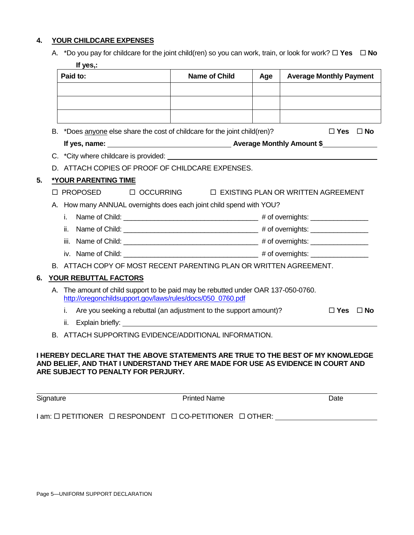#### **4. YOUR CHILDCARE EXPENSES**

| A. *Do you pay for childcare for the joint child(ren) so you can work, train, or look for work? $\Box$ Yes $\Box$ No |  |
|----------------------------------------------------------------------------------------------------------------------|--|
| <b>If</b>                                                                                                            |  |

|    | Paid to:                                                                                                                                                                                                                              | <b>Name of Child</b> | Age | <b>Average Monthly Payment</b> |
|----|---------------------------------------------------------------------------------------------------------------------------------------------------------------------------------------------------------------------------------------|----------------------|-----|--------------------------------|
|    |                                                                                                                                                                                                                                       |                      |     |                                |
|    |                                                                                                                                                                                                                                       |                      |     |                                |
|    |                                                                                                                                                                                                                                       |                      |     |                                |
| В. | *Does anyone else share the cost of childcare for the joint child(ren)?                                                                                                                                                               |                      |     | $\Box$ Yes $\Box$ No           |
|    |                                                                                                                                                                                                                                       |                      |     |                                |
|    |                                                                                                                                                                                                                                       |                      |     |                                |
|    | D. ATTACH COPIES OF PROOF OF CHILDCARE EXPENSES.                                                                                                                                                                                      |                      |     |                                |
|    | <b>*YOUR PARENTING TIME</b>                                                                                                                                                                                                           |                      |     |                                |
|    | □ PROPOSED □ OCCURRING □ EXISTING PLAN OR WRITTEN AGREEMENT                                                                                                                                                                           |                      |     |                                |
|    | A. How many ANNUAL overnights does each joint child spend with YOU?                                                                                                                                                                   |                      |     |                                |
|    | i.                                                                                                                                                                                                                                    |                      |     |                                |
|    | ii.                                                                                                                                                                                                                                   |                      |     |                                |
|    |                                                                                                                                                                                                                                       |                      |     |                                |
|    |                                                                                                                                                                                                                                       |                      |     |                                |
|    |                                                                                                                                                                                                                                       |                      |     |                                |
|    | B. ATTACH COPY OF MOST RECENT PARENTING PLAN OR WRITTEN AGREEMENT.                                                                                                                                                                    |                      |     |                                |
|    | YOUR REBUTTAL FACTORS                                                                                                                                                                                                                 |                      |     |                                |
|    | A. The amount of child support to be paid may be rebutted under OAR 137-050-0760.                                                                                                                                                     |                      |     |                                |
|    | http://oregonchildsupport.gov/laws/rules/docs/050_0760.pdf                                                                                                                                                                            |                      |     |                                |
|    | Are you seeking a rebuttal (an adjustment to the support amount)?<br>i.                                                                                                                                                               |                      |     | $\Box$ Yes<br>$\Box$ No        |
|    | Explain briefly: North and September 2014 and September 2014 and September 2014 and September 2014 and September 2014 and September 2014 and September 2014 and September 2014 and September 2014 and September 2014 and Septe<br>ii. |                      |     |                                |

#### **I HEREBY DECLARE THAT THE ABOVE STATEMENTS ARE TRUE TO THE BEST OF MY KNOWLEDGE AND BELIEF, AND THAT I UNDERSTAND THEY ARE MADE FOR USE AS EVIDENCE IN COURT AND ARE SUBJECT TO PENALTY FOR PERJURY.**

| Signature                                                                      | <b>Printed Name</b> | Date |
|--------------------------------------------------------------------------------|---------------------|------|
| $I$ am: $\Box$ PETITIONER $\Box$ RESPONDENT $\Box$ CO-PETITIONER $\Box$ OTHER: |                     |      |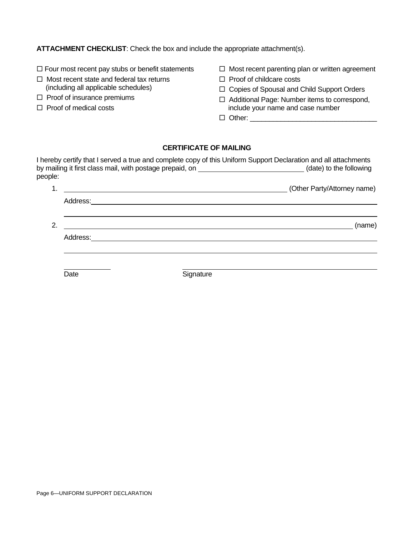**ATTACHMENT CHECKLIST**: Check the box and include the appropriate attachment(s).

- $\Box$  Four most recent pay stubs or benefit statements
- $\Box$  Most recent state and federal tax returns (including all applicable schedules)
- $\square$  Proof of insurance premiums
- $\Box$  Proof of medical costs
- $\Box$  Most recent parenting plan or written agreement
- $\Box$  Proof of childcare costs
- □ Copies of Spousal and Child Support Orders
- □ Additional Page: Number items to correspond, include your name and case number
- Other: \_\_\_\_\_\_\_\_\_\_\_\_\_\_\_\_\_\_\_\_\_\_\_\_\_\_\_\_\_\_\_\_\_

#### **CERTIFICATE OF MAILING**

| people: |          |           | I hereby certify that I served a true and complete copy of this Uniform Support Declaration and all attachments<br>by mailing it first class mail, with postage prepaid, on ___________________________(date) to the following |
|---------|----------|-----------|--------------------------------------------------------------------------------------------------------------------------------------------------------------------------------------------------------------------------------|
|         |          |           | (Other Party/Attorney name)                                                                                                                                                                                                    |
|         |          |           |                                                                                                                                                                                                                                |
| 2.      |          |           | (name)                                                                                                                                                                                                                         |
|         | Address: |           |                                                                                                                                                                                                                                |
|         |          |           |                                                                                                                                                                                                                                |
|         | Date     | Signature |                                                                                                                                                                                                                                |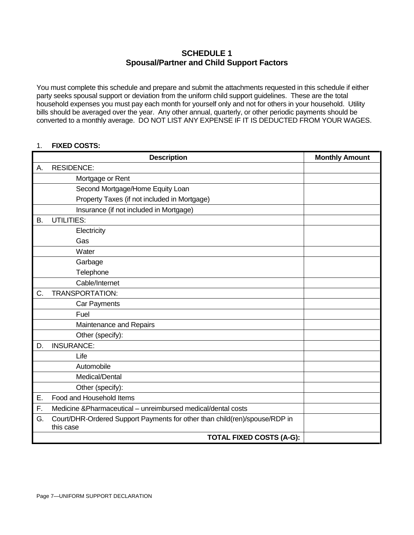## **SCHEDULE 1 Spousal/Partner and Child Support Factors**

You must complete this schedule and prepare and submit the attachments requested in this schedule if either party seeks spousal support or deviation from the uniform child support guidelines. These are the total household expenses you must pay each month for yourself only and not for others in your household. Utility bills should be averaged over the year. Any other annual, quarterly, or other periodic payments should be converted to a monthly average. DO NOT LIST ANY EXPENSE IF IT IS DEDUCTED FROM YOUR WAGES.

#### 1. **FIXED COSTS:**

|    | <b>Description</b>                                                                      | <b>Monthly Amount</b> |
|----|-----------------------------------------------------------------------------------------|-----------------------|
| А. | <b>RESIDENCE:</b>                                                                       |                       |
|    | Mortgage or Rent                                                                        |                       |
|    | Second Mortgage/Home Equity Loan                                                        |                       |
|    | Property Taxes (if not included in Mortgage)                                            |                       |
|    | Insurance (if not included in Mortgage)                                                 |                       |
| В. | <b>UTILITIES:</b>                                                                       |                       |
|    | Electricity                                                                             |                       |
|    | Gas                                                                                     |                       |
|    | Water                                                                                   |                       |
|    | Garbage                                                                                 |                       |
|    | Telephone                                                                               |                       |
|    | Cable/Internet                                                                          |                       |
| C. | <b>TRANSPORTATION:</b>                                                                  |                       |
|    | Car Payments                                                                            |                       |
|    | Fuel                                                                                    |                       |
|    | Maintenance and Repairs                                                                 |                       |
|    | Other (specify):                                                                        |                       |
| D. | <b>INSURANCE:</b>                                                                       |                       |
|    | Life                                                                                    |                       |
|    | Automobile                                                                              |                       |
|    | Medical/Dental                                                                          |                       |
|    | Other (specify):                                                                        |                       |
| Е. | Food and Household Items                                                                |                       |
| F. | Medicine & Pharmaceutical – unreimbursed medical/dental costs                           |                       |
| G. | Court/DHR-Ordered Support Payments for other than child(ren)/spouse/RDP in<br>this case |                       |
|    | <b>TOTAL FIXED COSTS (A-G):</b>                                                         |                       |